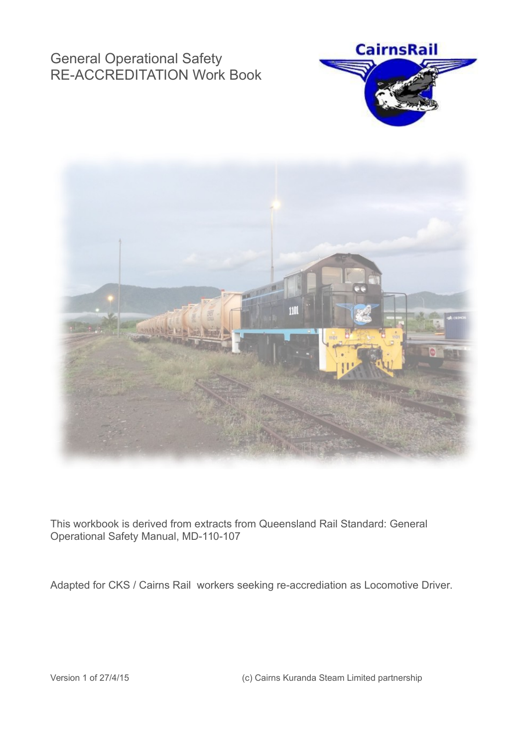# General Operational Safety RE-ACCREDITATION Work Book





This workbook is derived from extracts from Queensland Rail Standard: General Operational Safety Manual, MD-110-107

Adapted for CKS / Cairns Rail workers seeking re-accrediation as Locomotive Driver.

Version 1 of 27/4/15 (c) Cairns Kuranda Steam Limited partnership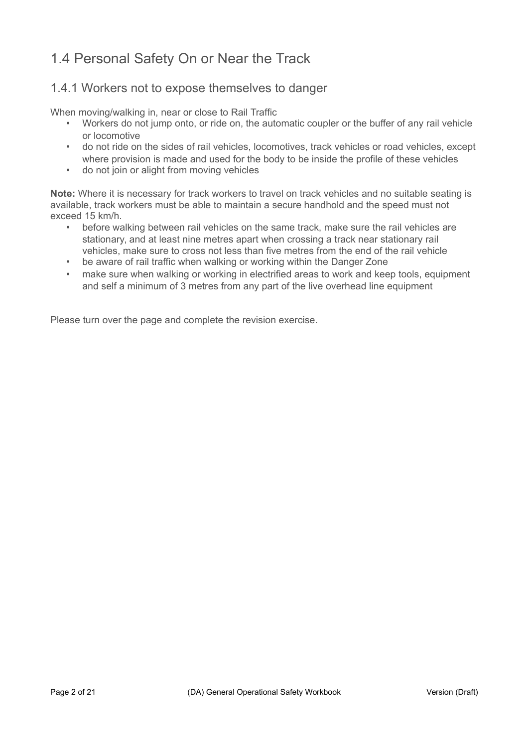# 1.4 Personal Safety On or Near the Track

### 1.4.1 Workers not to expose themselves to danger

When moving/walking in, near or close to Rail Traffic

- Workers do not jump onto, or ride on, the automatic coupler or the buffer of any rail vehicle or locomotive
- do not ride on the sides of rail vehicles, locomotives, track vehicles or road vehicles, except where provision is made and used for the body to be inside the profile of these vehicles
- do not join or alight from moving vehicles

**Note:** Where it is necessary for track workers to travel on track vehicles and no suitable seating is available, track workers must be able to maintain a secure handhold and the speed must not exceed 15 km/h.

- before walking between rail vehicles on the same track, make sure the rail vehicles are stationary, and at least nine metres apart when crossing a track near stationary rail vehicles, make sure to cross not less than five metres from the end of the rail vehicle
- be aware of rail traffic when walking or working within the Danger Zone
- make sure when walking or working in electrified areas to work and keep tools, equipment and self a minimum of 3 metres from any part of the live overhead line equipment

Please turn over the page and complete the revision exercise.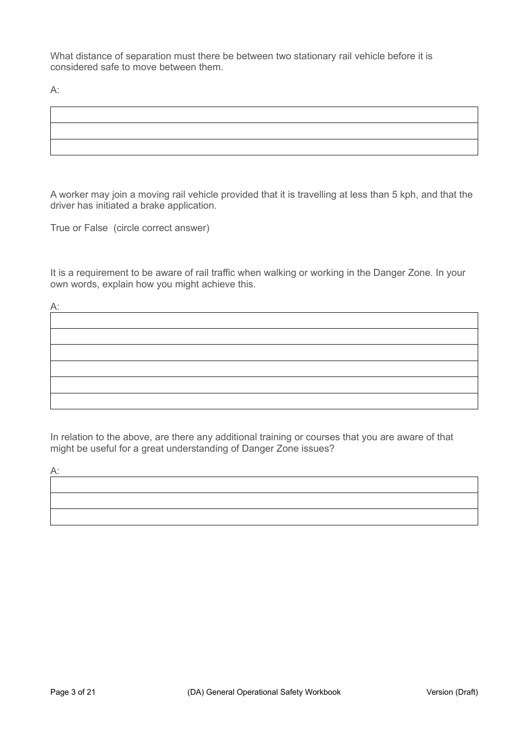What distance of separation must there be between two stationary rail vehicle before it is considered safe to move between them.

A:

A worker may join a moving rail vehicle provided that it is travelling at less than 5 kph, and that the driver has initiated a brake application.

True or False (circle correct answer)

It is a requirement to be aware of rail traffic when walking or working in the Danger Zone. In your own words, explain how you might achieve this.



In relation to the above, are there any additional training or courses that you are aware of that might be useful for a great understanding of Danger Zone issues?

 $A$ :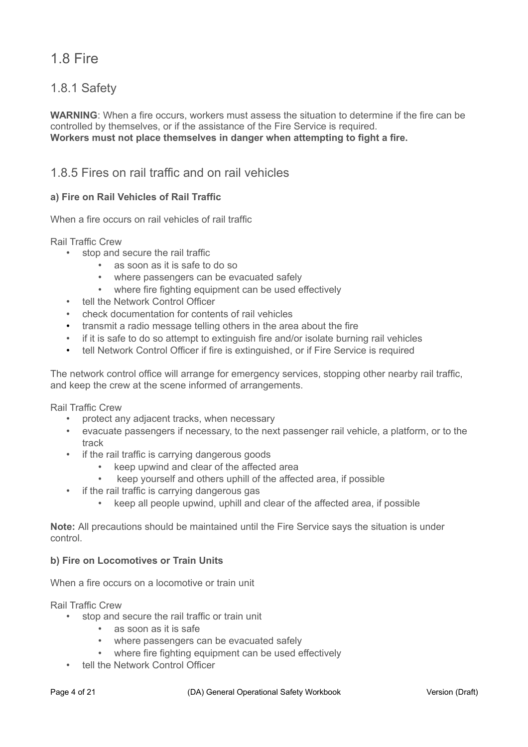# 1.8 Fire

### 1.8.1 Safety

**WARNING**: When a fire occurs, workers must assess the situation to determine if the fire can be controlled by themselves, or if the assistance of the Fire Service is required. **Workers must not place themselves in danger when attempting to fight a fire.**

### 1.8.5 Fires on rail traffic and on rail vehicles

#### **a) Fire on Rail Vehicles of Rail Traffic**

When a fire occurs on rail vehicles of rail traffic

Rail Traffic Crew

- stop and secure the rail traffic
	- as soon as it is safe to do so
	- where passengers can be evacuated safely
	- where fire fighting equipment can be used effectively
- tell the Network Control Officer
- check documentation for contents of rail vehicles
- transmit a radio message telling others in the area about the fire
- if it is safe to do so attempt to extinguish fire and/or isolate burning rail vehicles
- tell Network Control Officer if fire is extinguished, or if Fire Service is required

The network control office will arrange for emergency services, stopping other nearby rail traffic, and keep the crew at the scene informed of arrangements.

Rail Traffic Crew

- protect any adjacent tracks, when necessary
- evacuate passengers if necessary, to the next passenger rail vehicle, a platform, or to the track
- if the rail traffic is carrying dangerous goods
	- keep upwind and clear of the affected area
	- keep yourself and others uphill of the affected area, if possible
- if the rail traffic is carrying dangerous gas
	- keep all people upwind, uphill and clear of the affected area, if possible

**Note:** All precautions should be maintained until the Fire Service says the situation is under control.

#### **b) Fire on Locomotives or Train Units**

When a fire occurs on a locomotive or train unit

Rail Traffic Crew

- stop and secure the rail traffic or train unit
	- as soon as it is safe
	- where passengers can be evacuated safely
	- where fire fighting equipment can be used effectively
- tell the Network Control Officer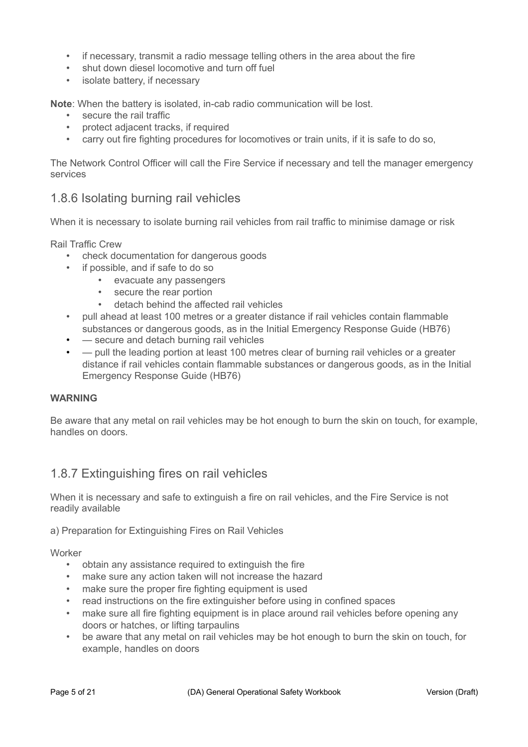- if necessary, transmit a radio message telling others in the area about the fire
- shut down diesel locomotive and turn off fuel
- isolate battery, if necessary

**Note**: When the battery is isolated, in-cab radio communication will be lost.

- secure the rail traffic
- protect adjacent tracks, if required
- carry out fire fighting procedures for locomotives or train units, if it is safe to do so,

The Network Control Officer will call the Fire Service if necessary and tell the manager emergency services

### 1.8.6 Isolating burning rail vehicles

When it is necessary to isolate burning rail vehicles from rail traffic to minimise damage or risk

Rail Traffic Crew

- check documentation for dangerous goods
- if possible, and if safe to do so
	- evacuate any passengers
	- secure the rear portion
	- detach behind the affected rail vehicles
- pull ahead at least 100 metres or a greater distance if rail vehicles contain flammable substances or dangerous goods, as in the Initial Emergency Response Guide (HB76)
- — secure and detach burning rail vehicles
- $\rightharpoonup$  pull the leading portion at least 100 metres clear of burning rail vehicles or a greater distance if rail vehicles contain flammable substances or dangerous goods, as in the Initial Emergency Response Guide (HB76)

#### **WARNING**

Be aware that any metal on rail vehicles may be hot enough to burn the skin on touch, for example, handles on doors.

### 1.8.7 Extinguishing fires on rail vehicles

When it is necessary and safe to extinguish a fire on rail vehicles, and the Fire Service is not readily available

a) Preparation for Extinguishing Fires on Rail Vehicles

Worker

- obtain any assistance required to extinguish the fire
- make sure any action taken will not increase the hazard
- make sure the proper fire fighting equipment is used
- read instructions on the fire extinguisher before using in confined spaces
- make sure all fire fighting equipment is in place around rail vehicles before opening any doors or hatches, or lifting tarpaulins
- be aware that any metal on rail vehicles may be hot enough to burn the skin on touch, for example, handles on doors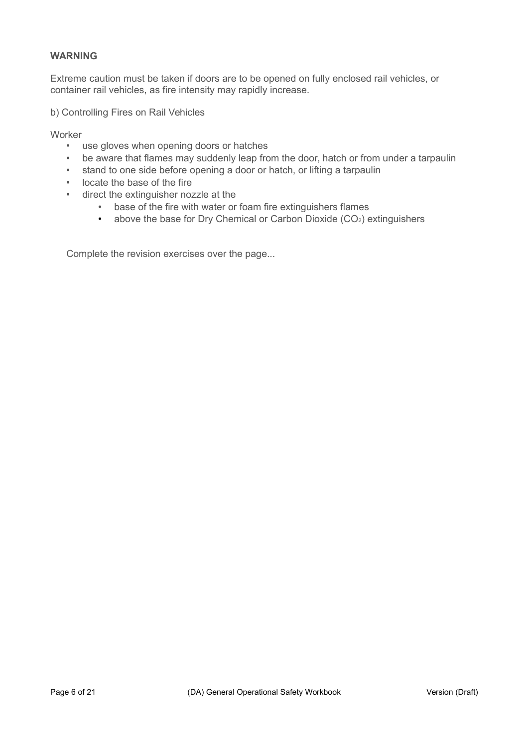#### **WARNING**

Extreme caution must be taken if doors are to be opened on fully enclosed rail vehicles, or container rail vehicles, as fire intensity may rapidly increase.

b) Controlling Fires on Rail Vehicles

**Worker** 

- use gloves when opening doors or hatches
- be aware that flames may suddenly leap from the door, hatch or from under a tarpaulin
- stand to one side before opening a door or hatch, or lifting a tarpaulin
- locate the base of the fire
- direct the extinguisher nozzle at the
	- base of the fire with water or foam fire extinguishers flames
	- above the base for Dry Chemical or Carbon Dioxide  $(CO<sub>2</sub>)$  extinguishers

Complete the revision exercises over the page...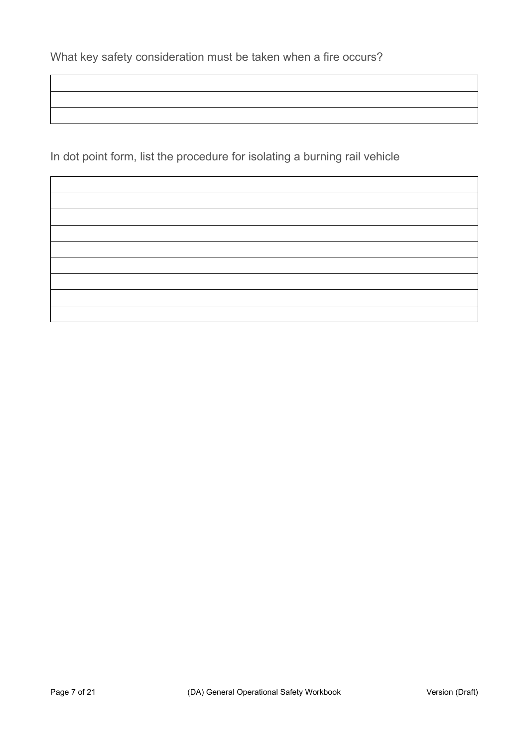In dot point form, list the procedure for isolating a burning rail vehicle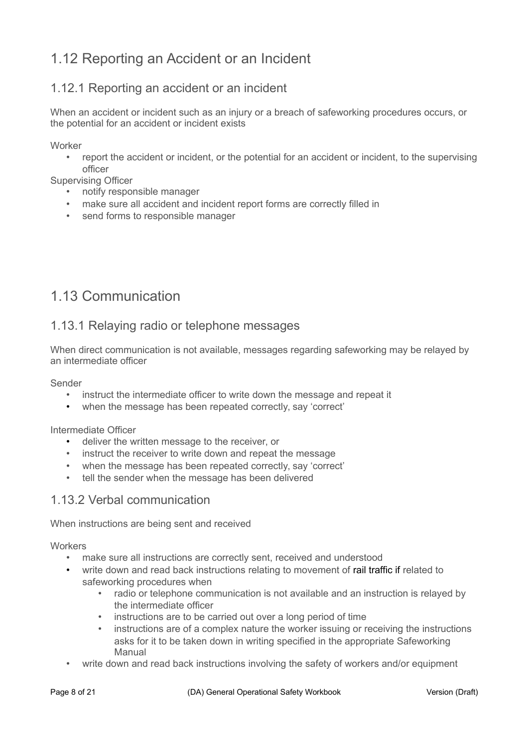# 1.12 Reporting an Accident or an Incident

### 1.12.1 Reporting an accident or an incident

When an accident or incident such as an injury or a breach of safeworking procedures occurs, or the potential for an accident or incident exists

Worker

• report the accident or incident, or the potential for an accident or incident, to the supervising officer

Supervising Officer

- notify responsible manager
- make sure all accident and incident report forms are correctly filled in
- send forms to responsible manager

# 1.13 Communication

### 1.13.1 Relaying radio or telephone messages

When direct communication is not available, messages regarding safeworking may be relayed by an intermediate officer

Sender

- instruct the intermediate officer to write down the message and repeat it
- when the message has been repeated correctly, say 'correct'

Intermediate Officer

- deliver the written message to the receiver, or
- instruct the receiver to write down and repeat the message
- when the message has been repeated correctly, say 'correct'
- tell the sender when the message has been delivered

### 1.13.2 Verbal communication

When instructions are being sent and received

**Workers** 

- make sure all instructions are correctly sent, received and understood
- write down and read back instructions relating to movement of rail traffic if related to safeworking procedures when
	- radio or telephone communication is not available and an instruction is relayed by the intermediate officer
	- instructions are to be carried out over a long period of time
	- instructions are of a complex nature the worker issuing or receiving the instructions asks for it to be taken down in writing specified in the appropriate Safeworking Manual
- write down and read back instructions involving the safety of workers and/or equipment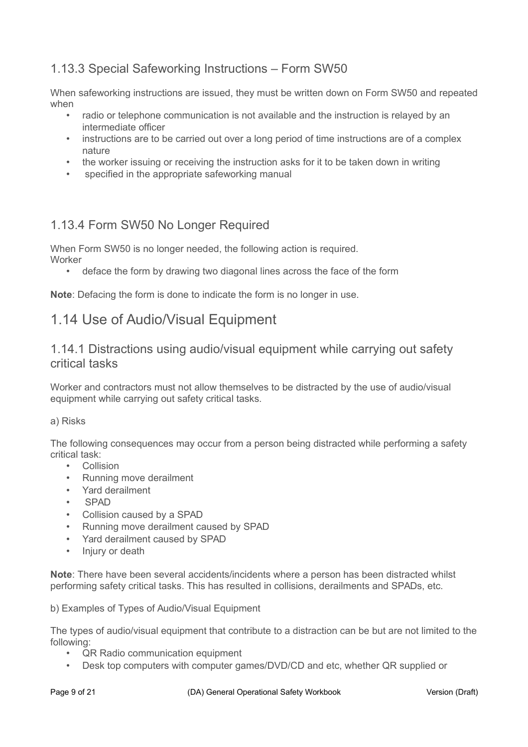## 1.13.3 Special Safeworking Instructions – Form SW50

When safeworking instructions are issued, they must be written down on Form SW50 and repeated when

- radio or telephone communication is not available and the instruction is relayed by an intermediate officer
- instructions are to be carried out over a long period of time instructions are of a complex nature
- the worker issuing or receiving the instruction asks for it to be taken down in writing
- specified in the appropriate safeworking manual

### 1.13.4 Form SW50 No Longer Required

When Form SW50 is no longer needed, the following action is required. Worker

• deface the form by drawing two diagonal lines across the face of the form

**Note**: Defacing the form is done to indicate the form is no longer in use.

## 1.14 Use of Audio/Visual Equipment

### 1.14.1 Distractions using audio/visual equipment while carrying out safety critical tasks

Worker and contractors must not allow themselves to be distracted by the use of audio/visual equipment while carrying out safety critical tasks.

#### a) Risks

The following consequences may occur from a person being distracted while performing a safety critical task:

- **Collision**
- Running move derailment
- Yard derailment
- SPAD
- Collision caused by a SPAD
- Running move derailment caused by SPAD
- Yard derailment caused by SPAD
- Injury or death

**Note**: There have been several accidents/incidents where a person has been distracted whilst performing safety critical tasks. This has resulted in collisions, derailments and SPADs, etc.

b) Examples of Types of Audio/Visual Equipment

The types of audio/visual equipment that contribute to a distraction can be but are not limited to the following:

- QR Radio communication equipment
- Desk top computers with computer games/DVD/CD and etc, whether QR supplied or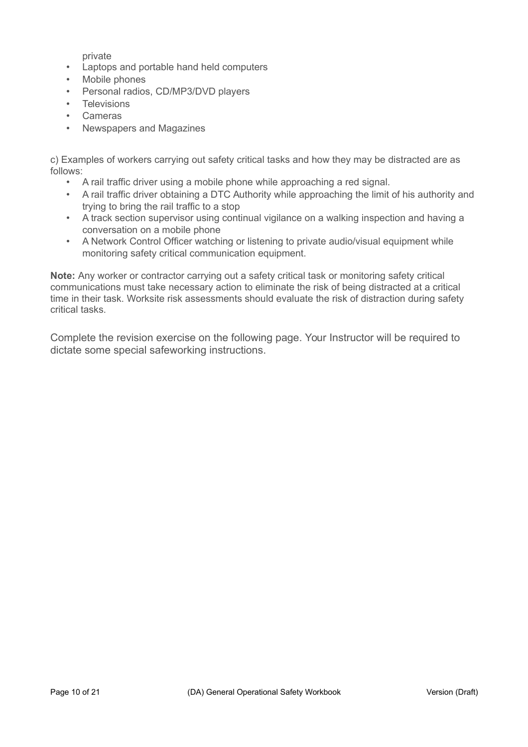private

- Laptops and portable hand held computers
- Mobile phones
- Personal radios, CD/MP3/DVD players
- Televisions
- Cameras
- Newspapers and Magazines

c) Examples of workers carrying out safety critical tasks and how they may be distracted are as follows:

- A rail traffic driver using a mobile phone while approaching a red signal.
- A rail traffic driver obtaining a DTC Authority while approaching the limit of his authority and trying to bring the rail traffic to a stop
- A track section supervisor using continual vigilance on a walking inspection and having a conversation on a mobile phone
- A Network Control Officer watching or listening to private audio/visual equipment while monitoring safety critical communication equipment.

**Note:** Any worker or contractor carrying out a safety critical task or monitoring safety critical communications must take necessary action to eliminate the risk of being distracted at a critical time in their task. Worksite risk assessments should evaluate the risk of distraction during safety critical tasks.

Complete the revision exercise on the following page. Your Instructor will be required to dictate some special safeworking instructions.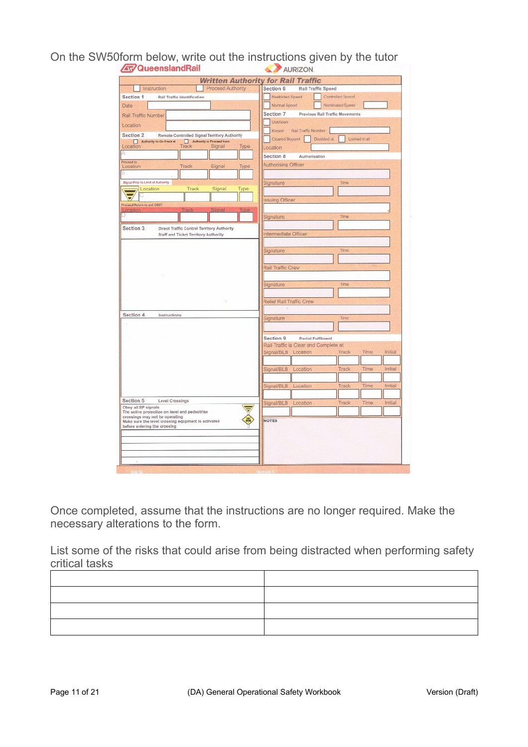On the SW50form below, write out the instructions given by the tutor

|                                                                                    | <b>Written Authority for Rail Traffic</b>                 |
|------------------------------------------------------------------------------------|-----------------------------------------------------------|
| Proceed Authority<br>Instruction                                                   | Section 6<br>Rail Traffic Speed                           |
| Section 1<br><b>Rail Traffic Identification</b>                                    | Restricted Speed<br>Controlled Speed                      |
| Date                                                                               | Normal Spend<br>Nominated Speed                           |
| Rail Traffic Number                                                                | Section 7<br>Previous Rail Traffic Movements              |
| Location                                                                           | Unknown                                                   |
| Section 2<br>Remote Controlled Signal Territory Authority                          | Rail Traffic Number<br>Known                              |
| Authority to On-Track at<br>Authority to Proceed from                              | Cleared Beyond<br>Locked in at<br>Disabled at             |
| Track<br>Signal<br>Location<br>Турв<br>Δ                                           | Location                                                  |
| Proceed to                                                                         | Section 8<br>Authorisation                                |
| Track<br>Signal<br>Location<br>Type                                                | Authorising Officer                                       |
|                                                                                    |                                                           |
| Signal Prior to Limit of Authority                                                 | Signature<br>Time                                         |
| Track<br>Signal<br>Location<br>Type                                                |                                                           |
| Proceed/Return to and OBEY                                                         | <b>Issuing Officer</b>                                    |
| Track<br><b>HEIRS</b><br><b>LMDE</b>                                               |                                                           |
|                                                                                    | Signature<br>Time                                         |
| Section 3<br>Direct Traffic Control Territory Authority                            |                                                           |
| Staff and Ticket Territory Authority                                               | Intermediate Officer                                      |
|                                                                                    |                                                           |
|                                                                                    | Time<br>Signature                                         |
|                                                                                    |                                                           |
|                                                                                    | Rail Traffic Crew                                         |
|                                                                                    |                                                           |
|                                                                                    | Signature<br>Time                                         |
|                                                                                    |                                                           |
|                                                                                    | Relief Rail Traffic Crew                                  |
| Section 4<br>Instructions                                                          |                                                           |
|                                                                                    | Signature<br>Time                                         |
|                                                                                    |                                                           |
|                                                                                    | Section 9<br><b>Partial Fulfilment</b>                    |
|                                                                                    | Rail Traffic is Clear and Complete at                     |
|                                                                                    | Signal/BLB Location<br>Initial<br>Track<br>Time           |
|                                                                                    |                                                           |
|                                                                                    | Signal/BLB<br>Location<br>Track<br>Time<br>Initial        |
|                                                                                    |                                                           |
|                                                                                    | Initial<br>Signal/BLB<br>Location<br>Track<br><b>Time</b> |
| Section 5<br>Level Crossings                                                       | Initial<br>Track<br>Time                                  |
| Obey all SP signals                                                                | Signal/BLB<br>Location                                    |
| The active protection on level and pedestrlan<br>crossings may not be operating    |                                                           |
| Make sure the level crossing equpment is activated<br>before entering the crossing | <b>NOTES</b>                                              |
|                                                                                    |                                                           |
|                                                                                    |                                                           |
|                                                                                    |                                                           |
|                                                                                    |                                                           |

Once completed, assume that the instructions are no longer required. Make the necessary alterations to the form.

List some of the risks that could arise from being distracted when performing safety critical tasks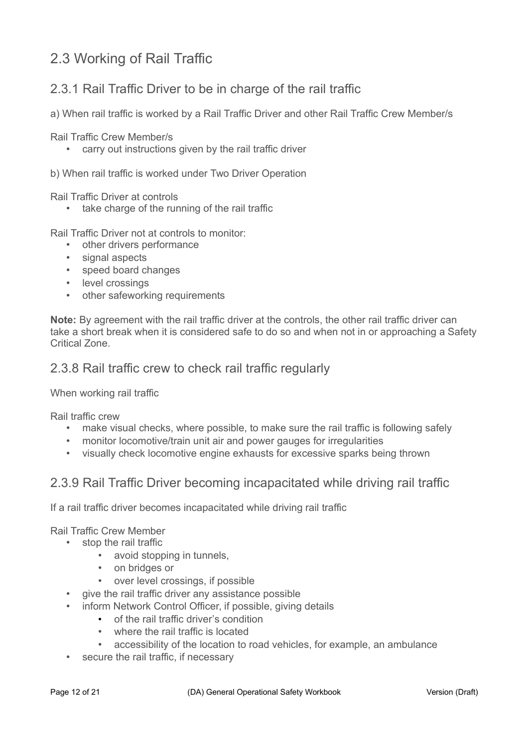# 2.3 Working of Rail Traffic

## 2.3.1 Rail Traffic Driver to be in charge of the rail traffic

a) When rail traffic is worked by a Rail Traffic Driver and other Rail Traffic Crew Member/s

Rail Traffic Crew Member/s

• carry out instructions given by the rail traffic driver

b) When rail traffic is worked under Two Driver Operation

Rail Traffic Driver at controls

• take charge of the running of the rail traffic

Rail Traffic Driver not at controls to monitor:

- other drivers performance
- signal aspects
- speed board changes
- level crossings
- other safeworking requirements

**Note:** By agreement with the rail traffic driver at the controls, the other rail traffic driver can take a short break when it is considered safe to do so and when not in or approaching a Safety Critical Zone.

### 2.3.8 Rail traffic crew to check rail traffic regularly

#### When working rail traffic

Rail traffic crew

- make visual checks, where possible, to make sure the rail traffic is following safely
- monitor locomotive/train unit air and power gauges for irregularities
- visually check locomotive engine exhausts for excessive sparks being thrown

### 2.3.9 Rail Traffic Driver becoming incapacitated while driving rail traffic

If a rail traffic driver becomes incapacitated while driving rail traffic

Rail Traffic Crew Member

- stop the rail traffic
	- avoid stopping in tunnels,
	- on bridges or
	- over level crossings, if possible
	- give the rail traffic driver any assistance possible
	- inform Network Control Officer, if possible, giving details
		- of the rail traffic driver's condition
		- where the rail traffic is located
		- accessibility of the location to road vehicles, for example, an ambulance
	- secure the rail traffic, if necessary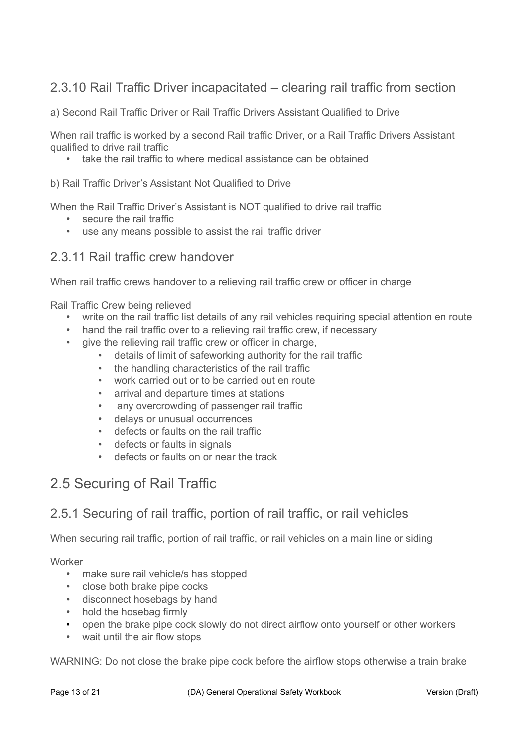## 2.3.10 Rail Traffic Driver incapacitated – clearing rail traffic from section

a) Second Rail Traffic Driver or Rail Traffic Drivers Assistant Qualified to Drive

When rail traffic is worked by a second Rail traffic Driver, or a Rail Traffic Drivers Assistant qualified to drive rail traffic

• take the rail traffic to where medical assistance can be obtained

#### b) Rail Traffic Driver's Assistant Not Qualified to Drive

When the Rail Traffic Driver's Assistant is NOT qualified to drive rail traffic

- secure the rail traffic
- use any means possible to assist the rail traffic driver

### 2.3.11 Rail traffic crew handover

When rail traffic crews handover to a relieving rail traffic crew or officer in charge

Rail Traffic Crew being relieved

- write on the rail traffic list details of any rail vehicles requiring special attention en route
- hand the rail traffic over to a relieving rail traffic crew, if necessary
- give the relieving rail traffic crew or officer in charge,
	- details of limit of safeworking authority for the rail traffic
	- the handling characteristics of the rail traffic
	- work carried out or to be carried out en route
	- arrival and departure times at stations
	- any overcrowding of passenger rail traffic
	- delays or unusual occurrences
	- defects or faults on the rail traffic
	- defects or faults in signals
	- defects or faults on or near the track

## 2.5 Securing of Rail Traffic

### 2.5.1 Securing of rail traffic, portion of rail traffic, or rail vehicles

When securing rail traffic, portion of rail traffic, or rail vehicles on a main line or siding

Worker

- make sure rail vehicle/s has stopped
- close both brake pipe cocks
- disconnect hosebags by hand
- hold the hosebag firmly
- open the brake pipe cock slowly do not direct airflow onto yourself or other workers
- wait until the air flow stops

WARNING: Do not close the brake pipe cock before the airflow stops otherwise a train brake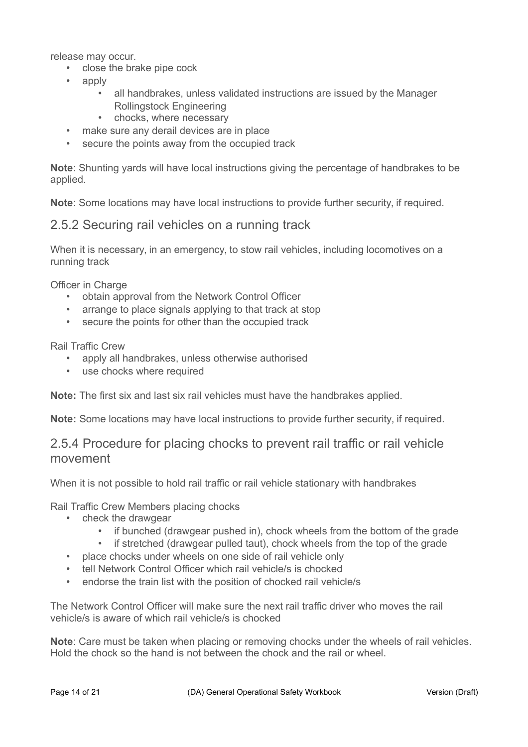release may occur.

- close the brake pipe cock
- apply
	- all handbrakes, unless validated instructions are issued by the Manager Rollingstock Engineering
	- chocks, where necessary
- make sure any derail devices are in place
- secure the points away from the occupied track

**Note**: Shunting yards will have local instructions giving the percentage of handbrakes to be applied.

**Note**: Some locations may have local instructions to provide further security, if required.

### 2.5.2 Securing rail vehicles on a running track

When it is necessary, in an emergency, to stow rail vehicles, including locomotives on a running track

Officer in Charge

- obtain approval from the Network Control Officer
- arrange to place signals applying to that track at stop
- secure the points for other than the occupied track

Rail Traffic Crew

- apply all handbrakes, unless otherwise authorised
- use chocks where required

**Note:** The first six and last six rail vehicles must have the handbrakes applied.

**Note:** Some locations may have local instructions to provide further security, if required.

### 2.5.4 Procedure for placing chocks to prevent rail traffic or rail vehicle movement

When it is not possible to hold rail traffic or rail vehicle stationary with handbrakes

Rail Traffic Crew Members placing chocks

- check the drawgear
	- if bunched (drawgear pushed in), chock wheels from the bottom of the grade
	- if stretched (drawgear pulled taut), chock wheels from the top of the grade
- place chocks under wheels on one side of rail vehicle only
- tell Network Control Officer which rail vehicle/s is chocked
- endorse the train list with the position of chocked rail vehicle/s

The Network Control Officer will make sure the next rail traffic driver who moves the rail vehicle/s is aware of which rail vehicle/s is chocked

**Note**: Care must be taken when placing or removing chocks under the wheels of rail vehicles. Hold the chock so the hand is not between the chock and the rail or wheel.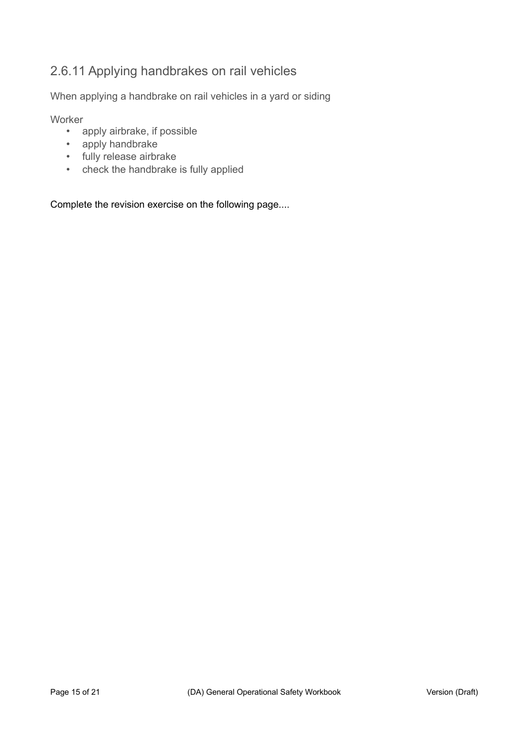## 2.6.11 Applying handbrakes on rail vehicles

When applying a handbrake on rail vehicles in a yard or siding

**Worker** 

- apply airbrake, if possible
- apply handbrake
- fully release airbrake
- check the handbrake is fully applied

Complete the revision exercise on the following page....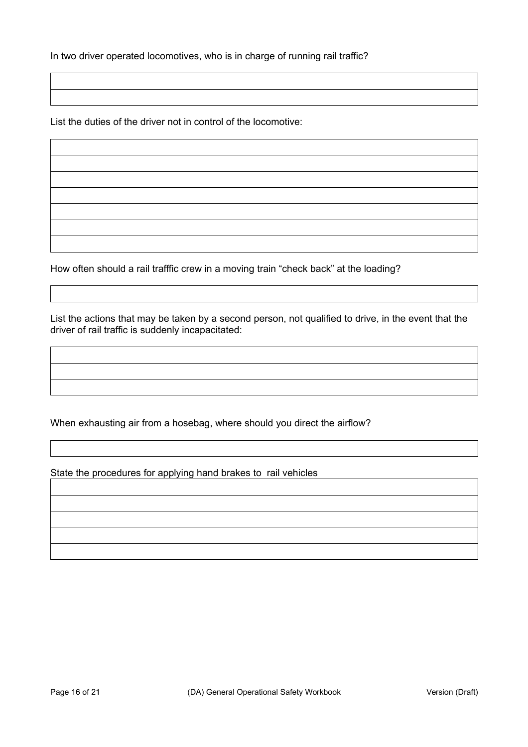In two driver operated locomotives, who is in charge of running rail traffic?

List the duties of the driver not in control of the locomotive:

How often should a rail trafffic crew in a moving train "check back" at the loading?

List the actions that may be taken by a second person, not qualified to drive, in the event that the driver of rail traffic is suddenly incapacitated:

When exhausting air from a hosebag, where should you direct the airflow?

State the procedures for applying hand brakes to rail vehicles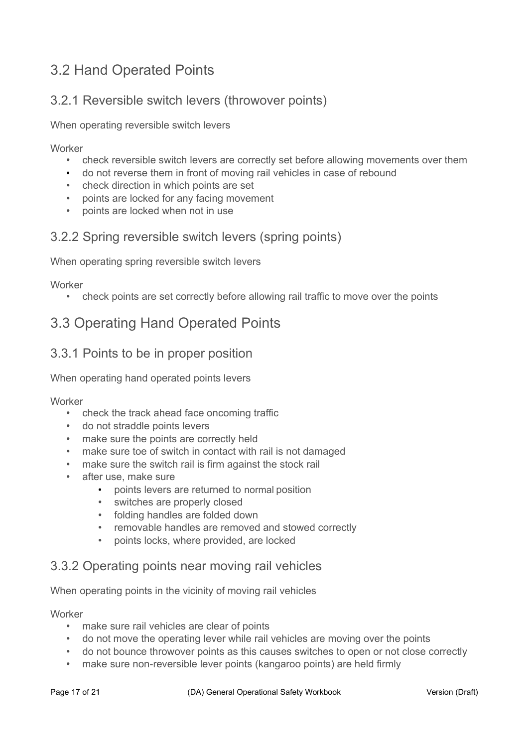# 3.2 Hand Operated Points

## 3.2.1 Reversible switch levers (throwover points)

When operating reversible switch levers

**Worker** 

- check reversible switch levers are correctly set before allowing movements over them
- do not reverse them in front of moving rail vehicles in case of rebound
- check direction in which points are set
- points are locked for any facing movement
- points are locked when not in use

## 3.2.2 Spring reversible switch levers (spring points)

When operating spring reversible switch levers

**Worker** 

• check points are set correctly before allowing rail traffic to move over the points

# 3.3 Operating Hand Operated Points

## 3.3.1 Points to be in proper position

When operating hand operated points levers

**Worker** 

- check the track ahead face oncoming traffic
- do not straddle points levers
- make sure the points are correctly held
- make sure toe of switch in contact with rail is not damaged
- make sure the switch rail is firm against the stock rail
- after use, make sure
	- points levers are returned to normal position
	- switches are properly closed
	- folding handles are folded down
	- removable handles are removed and stowed correctly
	- points locks, where provided, are locked

### 3.3.2 Operating points near moving rail vehicles

When operating points in the vicinity of moving rail vehicles

**Worker** 

- make sure rail vehicles are clear of points
- do not move the operating lever while rail vehicles are moving over the points
- do not bounce throwover points as this causes switches to open or not close correctly
- make sure non-reversible lever points (kangaroo points) are held firmly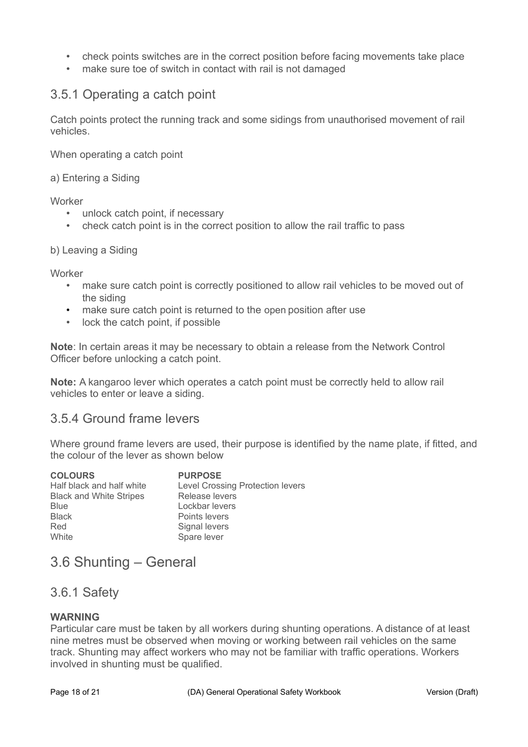- check points switches are in the correct position before facing movements take place
- make sure toe of switch in contact with rail is not damaged

### 3.5.1 Operating a catch point

Catch points protect the running track and some sidings from unauthorised movement of rail vehicles.

When operating a catch point

a) Entering a Siding

**Worker** 

- unlock catch point, if necessary
- check catch point is in the correct position to allow the rail traffic to pass

#### b) Leaving a Siding

**Worker** 

- make sure catch point is correctly positioned to allow rail vehicles to be moved out of the siding
- make sure catch point is returned to the open position after use
- lock the catch point, if possible

**Note**: In certain areas it may be necessary to obtain a release from the Network Control Officer before unlocking a catch point.

**Note:** A kangaroo lever which operates a catch point must be correctly held to allow rail vehicles to enter or leave a siding.

### 3.5.4 Ground frame levers

Where ground frame levers are used, their purpose is identified by the name plate, if fitted, and the colour of the lever as shown below

| <b>PURPOSE</b>                          |
|-----------------------------------------|
| <b>Level Crossing Protection levers</b> |
| Release levers                          |
| Lockbar levers                          |
| Points levers                           |
| Signal levers                           |
| Spare lever                             |
|                                         |

# 3.6 Shunting – General

### 3.6.1 Safety

#### **WARNING**

Particular care must be taken by all workers during shunting operations. A distance of at least nine metres must be observed when moving or working between rail vehicles on the same track. Shunting may affect workers who may not be familiar with traffic operations. Workers involved in shunting must be qualified.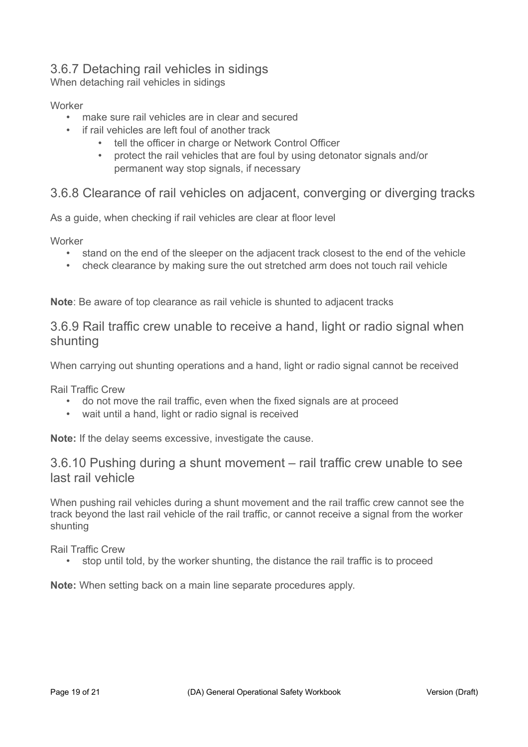## 3.6.7 Detaching rail vehicles in sidings

When detaching rail vehicles in sidings

#### **Worker**

- make sure rail vehicles are in clear and secured
- if rail vehicles are left foul of another track
	- tell the officer in charge or Network Control Officer
	- protect the rail vehicles that are foul by using detonator signals and/or permanent way stop signals, if necessary

### 3.6.8 Clearance of rail vehicles on adjacent, converging or diverging tracks

As a guide, when checking if rail vehicles are clear at floor level

**Worker** 

- stand on the end of the sleeper on the adjacent track closest to the end of the vehicle
- check clearance by making sure the out stretched arm does not touch rail vehicle

**Note**: Be aware of top clearance as rail vehicle is shunted to adjacent tracks

### 3.6.9 Rail traffic crew unable to receive a hand, light or radio signal when shunting

When carrying out shunting operations and a hand, light or radio signal cannot be received

Rail Traffic Crew

- do not move the rail traffic, even when the fixed signals are at proceed
- wait until a hand, light or radio signal is received

**Note:** If the delay seems excessive, investigate the cause.

### 3.6.10 Pushing during a shunt movement – rail traffic crew unable to see last rail vehicle

When pushing rail vehicles during a shunt movement and the rail traffic crew cannot see the track beyond the last rail vehicle of the rail traffic, or cannot receive a signal from the worker shunting

Rail Traffic Crew

• stop until told, by the worker shunting, the distance the rail traffic is to proceed

**Note:** When setting back on a main line separate procedures apply.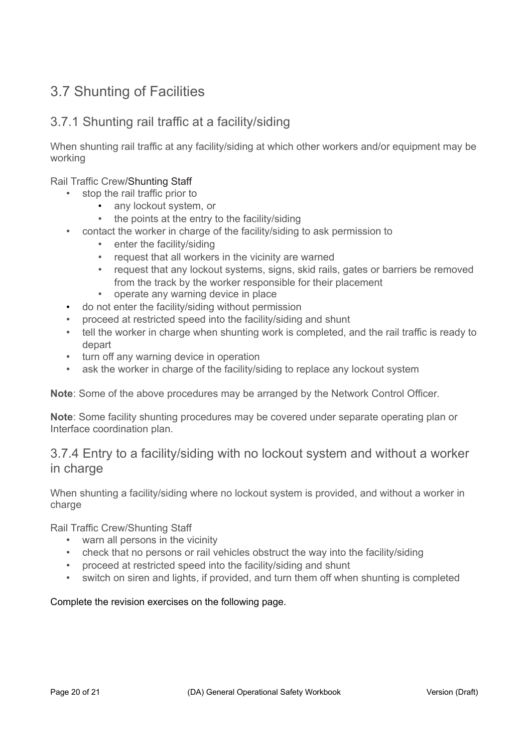# 3.7 Shunting of Facilities

## 3.7.1 Shunting rail traffic at a facility/siding

When shunting rail traffic at any facility/siding at which other workers and/or equipment may be working

Rail Traffic Crew/Shunting Staff

- stop the rail traffic prior to
	- any lockout system, or
	- the points at the entry to the facility/siding
- contact the worker in charge of the facility/siding to ask permission to
	- enter the facility/siding
	- request that all workers in the vicinity are warned
	- request that any lockout systems, signs, skid rails, gates or barriers be removed from the track by the worker responsible for their placement
	- operate any warning device in place
- do not enter the facility/siding without permission
- proceed at restricted speed into the facility/siding and shunt
- tell the worker in charge when shunting work is completed, and the rail traffic is ready to depart
- turn off any warning device in operation
- ask the worker in charge of the facility/siding to replace any lockout system

**Note**: Some of the above procedures may be arranged by the Network Control Officer.

**Note**: Some facility shunting procedures may be covered under separate operating plan or Interface coordination plan.

### 3.7.4 Entry to a facility/siding with no lockout system and without a worker in charge

When shunting a facility/siding where no lockout system is provided, and without a worker in charge

Rail Traffic Crew/Shunting Staff

- warn all persons in the vicinity
- check that no persons or rail vehicles obstruct the way into the facility/siding
- proceed at restricted speed into the facility/siding and shunt
- switch on siren and lights, if provided, and turn them off when shunting is completed

#### Complete the revision exercises on the following page.